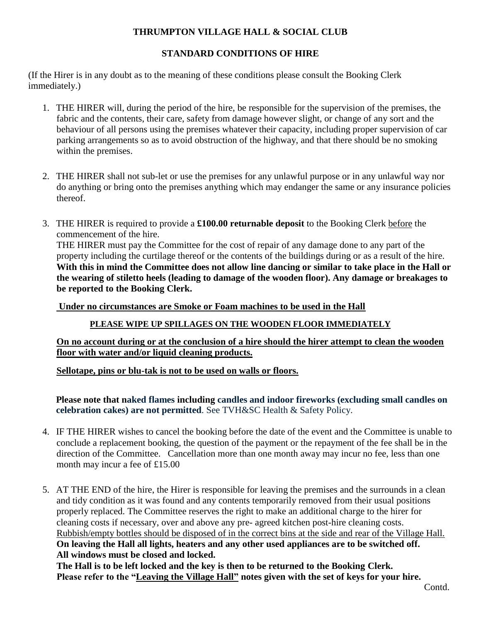# **THRUMPTON VILLAGE HALL & SOCIAL CLUB**

#### **STANDARD CONDITIONS OF HIRE**

(If the Hirer is in any doubt as to the meaning of these conditions please consult the Booking Clerk immediately.)

- 1. THE HIRER will, during the period of the hire, be responsible for the supervision of the premises, the fabric and the contents, their care, safety from damage however slight, or change of any sort and the behaviour of all persons using the premises whatever their capacity, including proper supervision of car parking arrangements so as to avoid obstruction of the highway, and that there should be no smoking within the premises.
- 2. THE HIRER shall not sub-let or use the premises for any unlawful purpose or in any unlawful way nor do anything or bring onto the premises anything which may endanger the same or any insurance policies thereof.
- 3. THE HIRER is required to provide a **£100.00 returnable deposit** to the Booking Clerk before the commencement of the hire.

THE HIRER must pay the Committee for the cost of repair of any damage done to any part of the property including the curtilage thereof or the contents of the buildings during or as a result of the hire. **With this in mind the Committee does not allow line dancing or similar to take place in the Hall or the wearing of stiletto heels (leading to damage of the wooden floor). Any damage or breakages to be reported to the Booking Clerk.**

 **Under no circumstances are Smoke or Foam machines to be used in the Hall** 

**PLEASE WIPE UP SPILLAGES ON THE WOODEN FLOOR IMMEDIATELY**

**On no account during or at the conclusion of a hire should the hirer attempt to clean the wooden floor with water and/or liquid cleaning products.**

**Sellotape, pins or blu-tak is not to be used on walls or floors.**

**Please note that naked flames including candles and indoor fireworks (excluding small candles on celebration cakes) are not permitted**. See TVH&SC Health & Safety Policy.

- 4. IF THE HIRER wishes to cancel the booking before the date of the event and the Committee is unable to conclude a replacement booking, the question of the payment or the repayment of the fee shall be in the direction of the Committee. Cancellation more than one month away may incur no fee, less than one month may incur a fee of £15.00
- 5. AT THE END of the hire, the Hirer is responsible for leaving the premises and the surrounds in a clean and tidy condition as it was found and any contents temporarily removed from their usual positions properly replaced. The Committee reserves the right to make an additional charge to the hirer for cleaning costs if necessary, over and above any pre- agreed kitchen post-hire cleaning costs. Rubbish/empty bottles should be disposed of in the correct bins at the side and rear of the Village Hall. **On leaving the Hall all lights, heaters and any other used appliances are to be switched off. All windows must be closed and locked.**

**The Hall is to be left locked and the key is then to be returned to the Booking Clerk. Please refer to the "Leaving the Village Hall" notes given with the set of keys for your hire.**